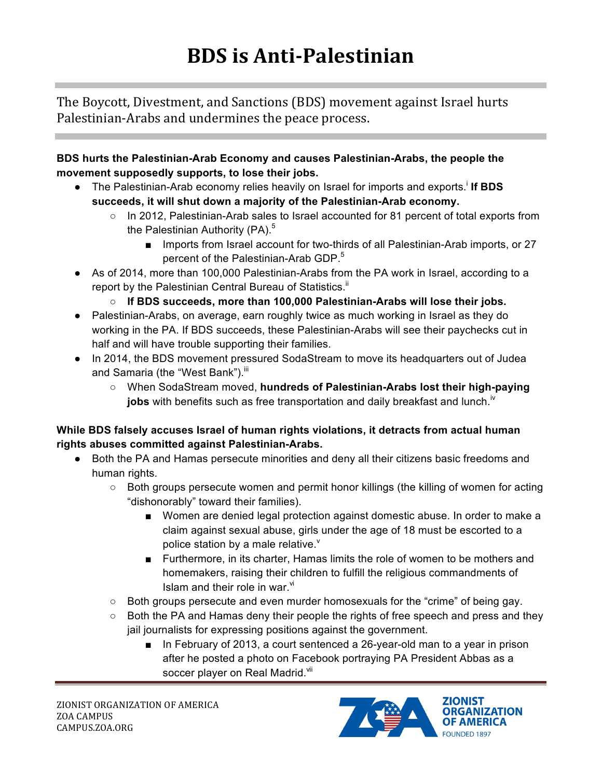The Boycott, Divestment, and Sanctions (BDS) movement against Israel hurts Palestinian-Arabs and undermines the peace process.

**BDS hurts the Palestinian-Arab Economy and causes Palestinian-Arabs, the people the movement supposedly supports, to lose their jobs.** 

- The Palestinian-Arab economy relies heavily on Israel for imports and exports.<sup>i</sup> If BDS **succeeds, it will shut down a majority of the Palestinian-Arab economy.**
	- In 2012, Palestinian-Arab sales to Israel accounted for 81 percent of total exports from the Palestinian Authority (PA). $5$ 
		- Imports from Israel account for two-thirds of all Palestinian-Arab imports, or 27 percent of the Palestinian-Arab GDP.<sup>5</sup>
- As of 2014, more than 100,000 Palestinian-Arabs from the PA work in Israel, according to a report by the Palestinian Central Bureau of Statistics.<sup>ii</sup>
	- **If BDS succeeds, more than 100,000 Palestinian-Arabs will lose their jobs.**
- Palestinian-Arabs, on average, earn roughly twice as much working in Israel as they do working in the PA. If BDS succeeds, these Palestinian-Arabs will see their paychecks cut in half and will have trouble supporting their families.
- In 2014, the BDS movement pressured SodaStream to move its headquarters out of Judea and Samaria (the "West Bank"). iii
	- When SodaStream moved, **hundreds of Palestinian-Arabs lost their high-paying jobs** with benefits such as free transportation and daily breakfast and lunch.<sup>iv</sup>

## **While BDS falsely accuses Israel of human rights violations, it detracts from actual human rights abuses committed against Palestinian-Arabs.**

- Both the PA and Hamas persecute minorities and deny all their citizens basic freedoms and human rights.
	- Both groups persecute women and permit honor killings (the killing of women for acting "dishonorably" toward their families).
		- Women are denied legal protection against domestic abuse. In order to make a claim against sexual abuse, girls under the age of 18 must be escorted to a police station by a male relative. $v$
		- Furthermore, in its charter, Hamas limits the role of women to be mothers and homemakers, raising their children to fulfill the religious commandments of Islam and their role in war. $\mathrm{N}$
	- Both groups persecute and even murder homosexuals for the "crime" of being gay.
	- Both the PA and Hamas deny their people the rights of free speech and press and they jail journalists for expressing positions against the government.
		- In February of 2013, a court sentenced a 26-year-old man to a year in prison after he posted a photo on Facebook portraying PA President Abbas as a soccer player on Real Madrid.<sup>Vii</sup>